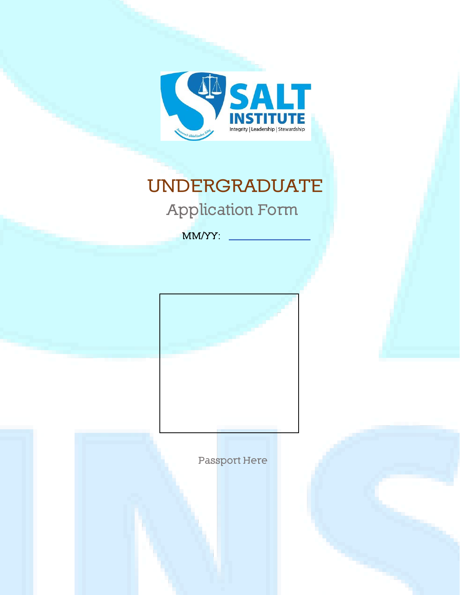

# **UNDERGRADUATE Application Form**

**MM/YY:**

**Passport Here**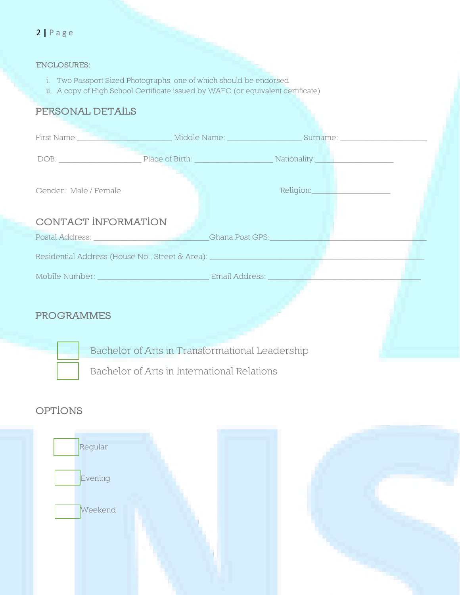#### 2 **|** P a g e

#### **ENCLOSURES:**

- i. Two Passport Sized Photographs, one of which should be endorsed
- ii. A copy of High School Certificate issued by WAEC (or equivalent certificate)

### **PERSONAL DETAILS**

| Gender: Male / Female |                                                                                                                                                                                                                                |
|-----------------------|--------------------------------------------------------------------------------------------------------------------------------------------------------------------------------------------------------------------------------|
| CONTACT INFORMATION   |                                                                                                                                                                                                                                |
|                       | Ghana Post GPS: And Allen And Allen                                                                                                                                                                                            |
|                       | Residential Address (House No., Street & Area): New York Contract to the Contract of the Contract of the Contract of the Contract of the Contract of the Contract of the Contract of the Contract of the Contract of the Contr |
|                       |                                                                                                                                                                                                                                |
| <b>PROGRAMMES</b>     |                                                                                                                                                                                                                                |
|                       |                                                                                                                                                                                                                                |

Bachelor of Arts in Transformational Leadership

Bachelor of Arts in International Relations

# **OPTIONS**



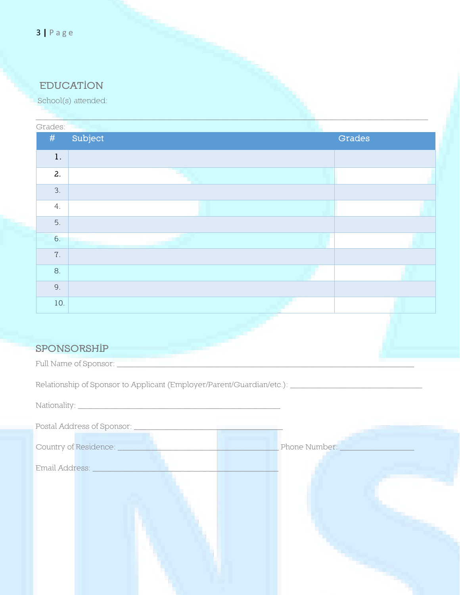# **EDUCATION**

School(s) attended:

| Grades: |                           |        |
|---------|---------------------------|--------|
| #       | Subject                   | Grades |
| $1.$    |                           |        |
| 2.      |                           |        |
| 3.      |                           |        |
| 4.      |                           |        |
| 5.      |                           |        |
| 6.      | <u> a shekara ta 1991</u> |        |
| $7$ .   |                           |        |
| 8.      |                           |        |
| 9.      |                           |        |
| 10.     |                           |        |
|         |                           |        |

 $\Box$  . The contribution of the contribution of the contribution of the contribution of the contribution of the contribution of the contribution of the contribution of the contribution of the contribution of the contributi

# **SPONSORSHIP**

Full Name of Sponsor:  $\sqsubseteq$ 

Relationship of Sponsor to Applicant (Employer/Parent/Guardian/etc.): \_\_\_\_\_\_\_\_\_\_\_\_\_\_\_\_\_\_\_\_\_\_\_\_\_\_\_\_\_\_\_\_

| Phone Number: |
|---------------|
|               |
|               |
|               |
|               |
|               |
|               |
|               |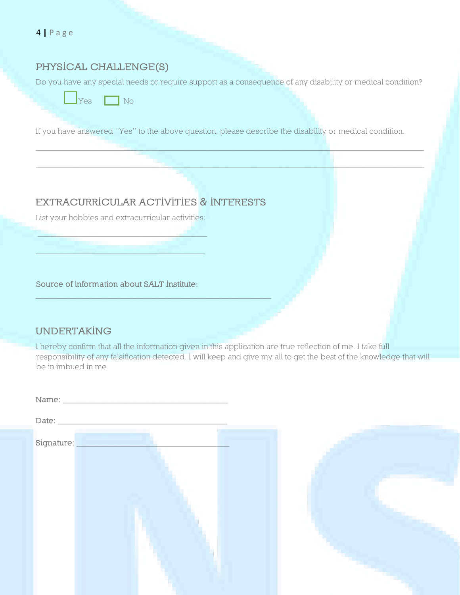4 **|** P a g e

#### **PHYSICAL CHALLENGE(S)**

Do you have any special needs or require support as a consequence of any disability or medical condition?

\_\_\_\_\_\_\_\_\_\_\_\_\_\_\_\_\_\_\_\_\_\_\_\_\_\_\_\_\_\_\_\_\_\_\_\_\_\_\_\_\_\_\_\_\_\_\_\_\_\_\_\_\_\_\_\_\_\_\_\_\_\_\_\_\_\_\_\_\_\_\_\_\_\_\_\_\_\_\_\_\_\_\_\_\_\_\_\_\_\_\_\_\_\_

\_\_\_\_\_\_\_\_\_\_\_\_\_\_\_\_\_\_\_\_\_\_\_\_\_\_\_\_\_\_\_\_\_\_\_\_\_\_\_\_\_\_\_\_\_\_\_\_\_\_\_\_\_\_\_\_\_\_\_\_\_\_\_\_\_\_\_\_\_\_\_\_\_\_\_\_\_\_\_\_\_\_\_\_\_\_\_\_\_\_\_\_\_\_

 $Yes \Box No$ 

If you have answered "Yes" to the above question, please describe the disability or medical condition.

# **EXTRACURRICULAR ACTIVITIES & INTERESTS**

\_\_\_\_\_\_\_\_\_\_\_\_\_\_\_\_\_\_\_\_\_\_\_\_\_\_\_\_\_\_\_\_\_\_\_\_\_\_\_\_\_\_\_\_\_\_\_\_\_\_\_\_\_\_\_\_\_

List your hobbies and extracurricular activities:

\_\_\_\_\_\_\_\_\_\_\_\_\_\_\_\_\_\_\_\_\_\_\_\_\_\_\_\_\_\_\_\_\_\_\_\_\_\_\_\_\_

 $\overline{\phantom{a}}$  , and the set of the set of the set of the set of the set of the set of the set of the set of the set of the set of the set of the set of the set of the set of the set of the set of the set of the set of the s

**Source of information about SALT Institute:**

#### **UNDERTAKING**

I hereby confirm that all the information given in this application are true reflection of me. I take full responsibility of any falsification detected. I will keep and give my all to get the best of the knowledge that will be in imbued in me.

| Signature: |  |
|------------|--|

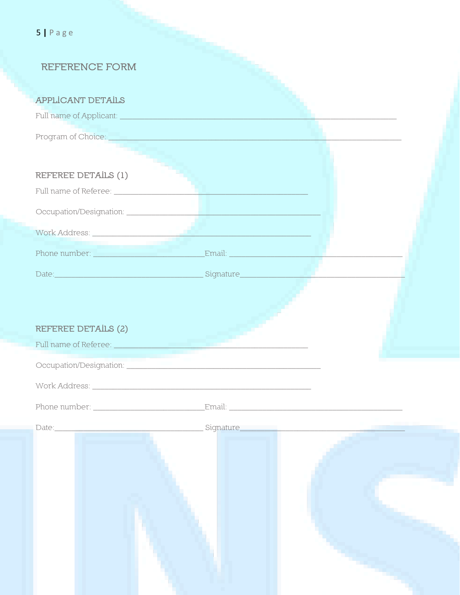| $5$   Page                                                                                                                                                                                                                    |  |
|-------------------------------------------------------------------------------------------------------------------------------------------------------------------------------------------------------------------------------|--|
| <b>REFERENCE FORM</b>                                                                                                                                                                                                         |  |
| <b>APPLICANT DETAILS</b>                                                                                                                                                                                                      |  |
|                                                                                                                                                                                                                               |  |
|                                                                                                                                                                                                                               |  |
|                                                                                                                                                                                                                               |  |
| REFEREE DETAILS (1)                                                                                                                                                                                                           |  |
|                                                                                                                                                                                                                               |  |
|                                                                                                                                                                                                                               |  |
|                                                                                                                                                                                                                               |  |
|                                                                                                                                                                                                                               |  |
|                                                                                                                                                                                                                               |  |
|                                                                                                                                                                                                                               |  |
|                                                                                                                                                                                                                               |  |
| REFEREE DETAILS (2)                                                                                                                                                                                                           |  |
| Full name of Referee:                                                                                                                                                                                                         |  |
| Occupation/Designation: entrance and contact the contact of the contact of the contact of the contact of the contact of the contact of the contact of the contact of the contact of the contact of the contact of the contact |  |
|                                                                                                                                                                                                                               |  |
|                                                                                                                                                                                                                               |  |
| $\text{Date:}\underbrace{\hspace{2.5cm}}$                                                                                                                                                                                     |  |
|                                                                                                                                                                                                                               |  |
|                                                                                                                                                                                                                               |  |
|                                                                                                                                                                                                                               |  |
|                                                                                                                                                                                                                               |  |
|                                                                                                                                                                                                                               |  |
|                                                                                                                                                                                                                               |  |
|                                                                                                                                                                                                                               |  |
|                                                                                                                                                                                                                               |  |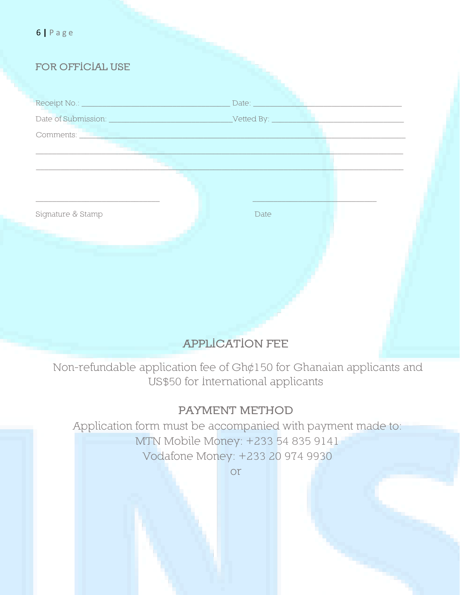| $6$   Page                                                                                                            |                                |
|-----------------------------------------------------------------------------------------------------------------------|--------------------------------|
| FOR OFFICIAL USE                                                                                                      |                                |
|                                                                                                                       |                                |
|                                                                                                                       | Date:                          |
|                                                                                                                       | $\sqrt{$ Vetted By: $\sqrt{ }$ |
| Comments: <u>2008 - 2008 - 2009 - 2009 - 2009 - 2009 - 2009 - 2009 - 2009 - 2009 - 2009 - 2009 - 2009 - 2009 - 20</u> |                                |
|                                                                                                                       |                                |
|                                                                                                                       |                                |
|                                                                                                                       |                                |
| Signature & Stamp                                                                                                     | Date                           |
|                                                                                                                       |                                |
|                                                                                                                       |                                |
|                                                                                                                       |                                |
|                                                                                                                       |                                |
|                                                                                                                       |                                |

# **APPLICATION FEE**

Non-refundable application fee of Gh¢150 for Ghanaian applicants and US\$50 for International applicants

# **PAYMENT METHOD**

Application form must be accompanied with payment made to: MTN Mobile Money: +233 54 835 9141 Vodafone Money: +233 20 974 9930

or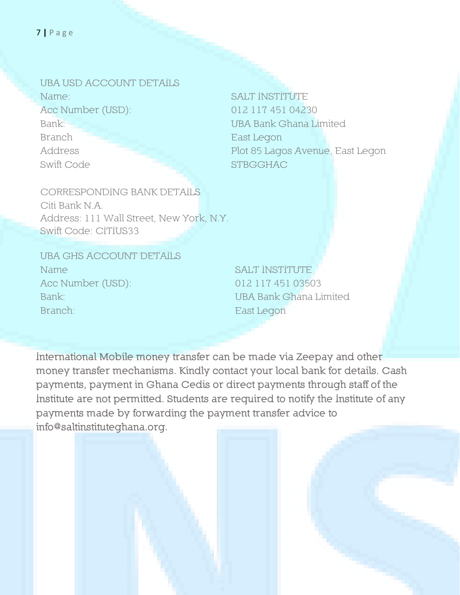**UBA USD ACCOUNT DETAILS** Name<sup>®</sup> Acc Number (USD): Bank: Branch Address Swift Code

**SALT INSTITUTE** 012 117 451 04230 **UBA Bank Ghana Limited** East Legon Plot 85 Lagos Avenue, East Legon **STBGGHAC** 

CORRESPONDING BANK DETAILS Citi Bank N.A. Address: 111 Wall Street, New York, N.Y. Swift Code: CITIUS33

**UBA GHS ACCOUNT DETAILS** Name Acc Number (USD): Bank<sup>®</sup> Branch<sup>®</sup>

SALT INSTITUTE 012 117 451 03503 **UBA Bank Ghana Limited** East Legon

International Mobile money transfer can be made via Zeepay and other money transfer mechanisms. Kindly contact your local bank for details. Cash payments, payment in Ghana Cedis or direct payments through staff of the Institute are not permitted. Students are required to notify the Institute of any payments made by forwarding the payment transfer advice to info@saltinstituteghana.org.